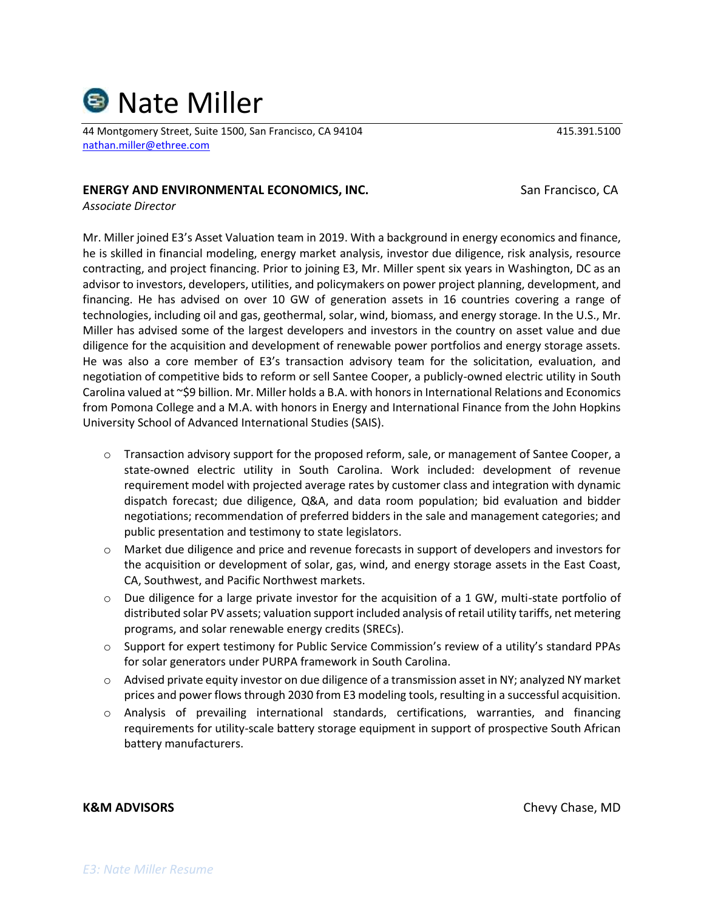

44 Montgomery Street, Suite 1500, San Francisco, CA 94104 415.391.5100 [nathan.miller@ethree.com](mailto:nathan.miller@ethree.com)

### **ENERGY AND ENVIRONMENTAL ECONOMICS, INC.** San Francisco, CA

*Associate Director*

Mr. Miller joined E3's Asset Valuation team in 2019. With a background in energy economics and finance, he is skilled in financial modeling, energy market analysis, investor due diligence, risk analysis, resource contracting, and project financing. Prior to joining E3, Mr. Miller spent six years in Washington, DC as an advisor to investors, developers, utilities, and policymakers on power project planning, development, and financing. He has advised on over 10 GW of generation assets in 16 countries covering a range of technologies, including oil and gas, geothermal, solar, wind, biomass, and energy storage. In the U.S., Mr. Miller has advised some of the largest developers and investors in the country on asset value and due diligence for the acquisition and development of renewable power portfolios and energy storage assets. He was also a core member of E3's transaction advisory team for the solicitation, evaluation, and negotiation of competitive bids to reform or sell Santee Cooper, a publicly-owned electric utility in South Carolina valued at ~\$9 billion. Mr. Miller holds a B.A. with honors in International Relations and Economics from Pomona College and a M.A. with honors in Energy and International Finance from the John Hopkins University School of Advanced International Studies (SAIS).

- o Transaction advisory support for the proposed reform, sale, or management of Santee Cooper, a state-owned electric utility in South Carolina. Work included: development of revenue requirement model with projected average rates by customer class and integration with dynamic dispatch forecast; due diligence, Q&A, and data room population; bid evaluation and bidder negotiations; recommendation of preferred bidders in the sale and management categories; and public presentation and testimony to state legislators.
- o Market due diligence and price and revenue forecasts in support of developers and investors for the acquisition or development of solar, gas, wind, and energy storage assets in the East Coast, CA, Southwest, and Pacific Northwest markets.
- o Due diligence for a large private investor for the acquisition of a 1 GW, multi-state portfolio of distributed solar PV assets; valuation support included analysis of retail utility tariffs, net metering programs, and solar renewable energy credits (SRECs).
- $\circ$  Support for expert testimony for Public Service Commission's review of a utility's standard PPAs for solar generators under PURPA framework in South Carolina.
- o Advised private equity investor on due diligence of a transmission asset in NY; analyzed NY market prices and power flows through 2030 from E3 modeling tools, resulting in a successful acquisition.
- o Analysis of prevailing international standards, certifications, warranties, and financing requirements for utility-scale battery storage equipment in support of prospective South African battery manufacturers.

**K&M ADVISORS** Chase Chase Chase Chase Chase Chase Chase Chase Chase Chase Chase Chase Chase Chase Chase Chase Chase Chase Chase Chase Chase Chase Chase Chase Chase Chase Chase Chase Chase Chase Chase Chase Chase Chase Cha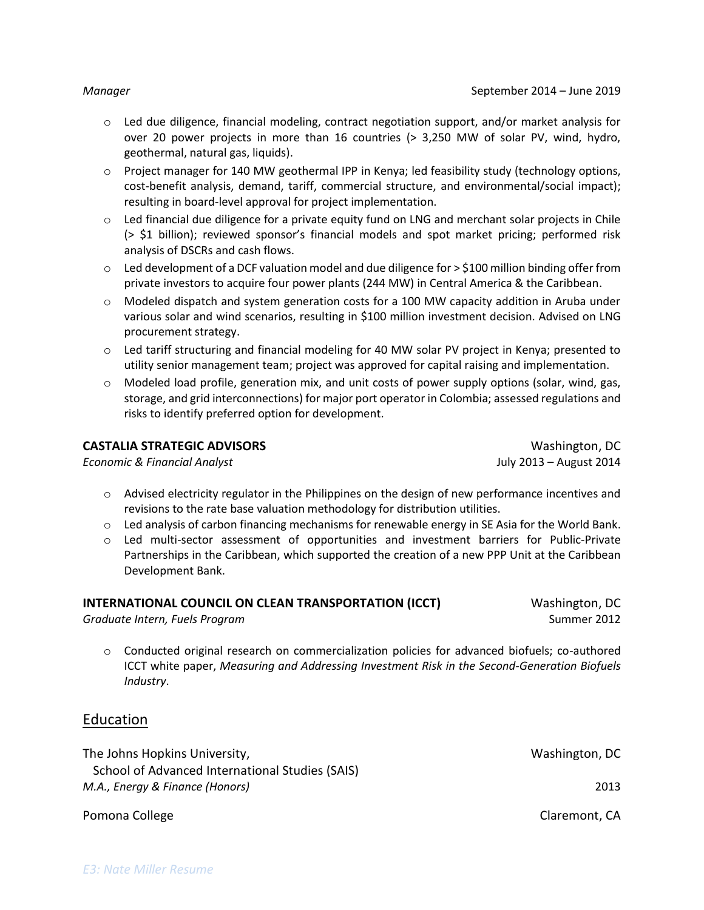- $\circ$  Led due diligence, financial modeling, contract negotiation support, and/or market analysis for over 20 power projects in more than 16 countries (> 3,250 MW of solar PV, wind, hydro, geothermal, natural gas, liquids).
- o Project manager for 140 MW geothermal IPP in Kenya; led feasibility study (technology options, cost-benefit analysis, demand, tariff, commercial structure, and environmental/social impact); resulting in board-level approval for project implementation.
- o Led financial due diligence for a private equity fund on LNG and merchant solar projects in Chile (> \$1 billion); reviewed sponsor's financial models and spot market pricing; performed risk analysis of DSCRs and cash flows.
- $\circ$  Led development of a DCF valuation model and due diligence for  $>$  \$100 million binding offer from private investors to acquire four power plants (244 MW) in Central America & the Caribbean.
- o Modeled dispatch and system generation costs for a 100 MW capacity addition in Aruba under various solar and wind scenarios, resulting in \$100 million investment decision. Advised on LNG procurement strategy.
- o Led tariff structuring and financial modeling for 40 MW solar PV project in Kenya; presented to utility senior management team; project was approved for capital raising and implementation.
- o Modeled load profile, generation mix, and unit costs of power supply options (solar, wind, gas, storage, and grid interconnections) for major port operator in Colombia; assessed regulations and risks to identify preferred option for development.

### **CASTALIA STRATEGIC ADVISORS** WAShington, DC

*Economic & Financial Analyst* July 2013 – August 2014

- $\circ$  Advised electricity regulator in the Philippines on the design of new performance incentives and revisions to the rate base valuation methodology for distribution utilities.
- $\circ$  Led analysis of carbon financing mechanisms for renewable energy in SE Asia for the World Bank.
- o Led multi-sector assessment of opportunities and investment barriers for Public-Private Partnerships in the Caribbean, which supported the creation of a new PPP Unit at the Caribbean Development Bank.

| INTERNATIONAL COUNCIL ON CLEAN TRANSPORTATION (ICCT) | Washington, DC |
|------------------------------------------------------|----------------|
| Graduate Intern, Fuels Program                       | Summer 2012    |

o Conducted original research on commercialization policies for advanced biofuels; co-authored ICCT white paper, *[Measuring and Addressing Investment Risk in the Second-Generation Biofuels](http://theicct.org/sites/default/files/publications/ICCT_AdvancedBiofuelsInvestmentRisk_Dec2013.pdf)  [Industry](http://theicct.org/sites/default/files/publications/ICCT_AdvancedBiofuelsInvestmentRisk_Dec2013.pdf)*.

## Education

The Johns Hopkins University, No. 2006 and Section 2012 and Mashington, DC School of Advanced International Studies (SAIS) *M.A., Energy & Finance (Honors)* 2013 Pomona College Care College Claremont, CA